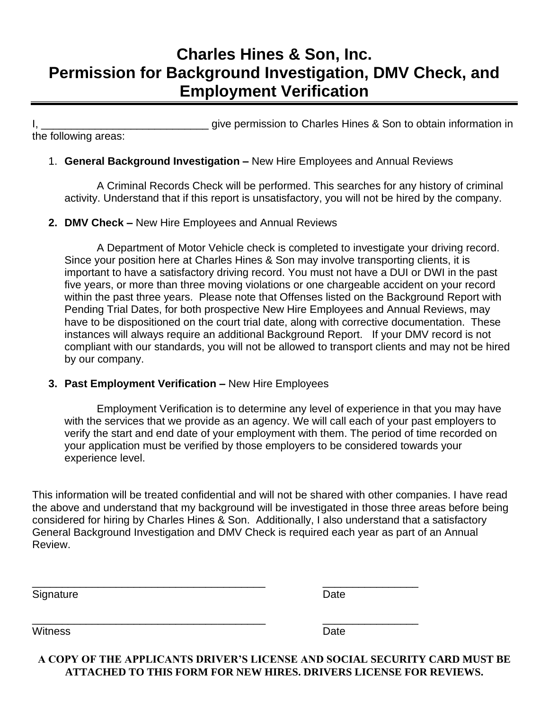# **Charles Hines & Son, Inc. Permission for Background Investigation, DMV Check, and Employment Verification**

I, **I** and the permission to Charles Hines & Son to obtain information in the following areas:

## 1. **General Background Investigation –** New Hire Employees and Annual Reviews

A Criminal Records Check will be performed. This searches for any history of criminal activity. Understand that if this report is unsatisfactory, you will not be hired by the company.

## **2. DMV Check –** New Hire Employees and Annual Reviews

A Department of Motor Vehicle check is completed to investigate your driving record. Since your position here at Charles Hines & Son may involve transporting clients, it is important to have a satisfactory driving record. You must not have a DUI or DWI in the past five years, or more than three moving violations or one chargeable accident on your record within the past three years. Please note that Offenses listed on the Background Report with Pending Trial Dates, for both prospective New Hire Employees and Annual Reviews, may have to be dispositioned on the court trial date, along with corrective documentation. These instances will always require an additional Background Report. If your DMV record is not compliant with our standards, you will not be allowed to transport clients and may not be hired by our company.

### **3. Past Employment Verification –** New Hire Employees

Employment Verification is to determine any level of experience in that you may have with the services that we provide as an agency. We will call each of your past employers to verify the start and end date of your employment with them. The period of time recorded on your application must be verified by those employers to be considered towards your experience level.

This information will be treated confidential and will not be shared with other companies. I have read the above and understand that my background will be investigated in those three areas before being considered for hiring by Charles Hines & Son. Additionally, I also understand that a satisfactory General Background Investigation and DMV Check is required each year as part of an Annual Review.

Signature Date Date Date

\_\_\_\_\_\_\_\_\_\_\_\_\_\_\_\_\_\_\_\_\_\_\_\_\_\_\_\_\_\_\_\_\_\_\_\_\_\_\_ \_\_\_\_\_\_\_\_\_\_\_\_\_\_\_\_

Witness Date

**A COPY OF THE APPLICANTS DRIVER'S LICENSE AND SOCIAL SECURITY CARD MUST BE ATTACHED TO THIS FORM FOR NEW HIRES. DRIVERS LICENSE FOR REVIEWS.**

\_\_\_\_\_\_\_\_\_\_\_\_\_\_\_\_\_\_\_\_\_\_\_\_\_\_\_\_\_\_\_\_\_\_\_\_\_\_\_ \_\_\_\_\_\_\_\_\_\_\_\_\_\_\_\_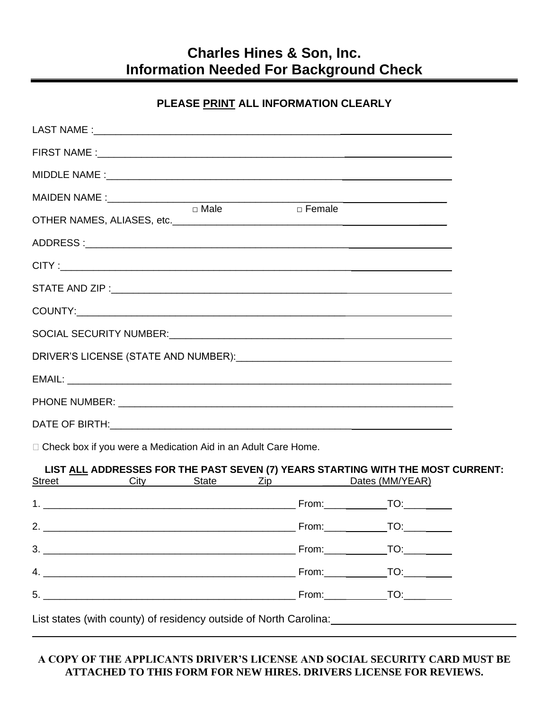## **Charles Hines & Son, Inc. Information Needed For Background Check**

## **PLEASE PRINT ALL INFORMATION CLEARLY**

|  | $\Box$ Male | <b>Example 1</b> Female |  |  |  |  |  |
|--|-------------|-------------------------|--|--|--|--|--|
|  |             |                         |  |  |  |  |  |
|  |             |                         |  |  |  |  |  |
|  |             |                         |  |  |  |  |  |
|  |             |                         |  |  |  |  |  |
|  |             |                         |  |  |  |  |  |
|  |             |                         |  |  |  |  |  |
|  |             |                         |  |  |  |  |  |
|  |             |                         |  |  |  |  |  |
|  |             |                         |  |  |  |  |  |

□ Check box if you were a Medication Aid in an Adult Care Home.

#### **LIST ALL ADDRESSES FOR THE PAST SEVEN (7) YEARS STARTING WITH THE MOST CURRENT:**  $\sum_{i=1}^{n}$   $\sum_{i=1}^{n}$   $\sum_{i=1}^{n}$   $\sum_{i=1}^{n}$   $\sum_{i=1}^{n}$   $\sum_{i=1}^{n}$   $\sum_{i=1}^{n}$   $\sum_{i=1}^{n}$   $\sum_{i=1}^{n}$   $\sum_{i=1}^{n}$   $\sum_{i=1}^{n}$   $\sum_{i=1}^{n}$   $\sum_{i=1}^{n}$   $\sum_{i=1}^{n}$   $\sum_{i=1}^{n}$   $\sum_{i=1}^{n}$   $\sum_{i=1}^{n}$

|                                                                         |  | $O(1)$ $O(1)$ $O(1)$ $O(1)$ $O(1)$ $O(1)$ $O(1)$ $O(1)$ $O(1)$ $O(1)$ $O(1)$ $O(1)$ $O(1)$ $O(1)$ $O(1)$ $O(1)$ $O(1)$ $O(1)$ $O(1)$ $O(1)$ $O(1)$ $O(1)$ $O(1)$ $O(1)$ $O(1)$ $O(1)$ $O(1)$ $O(1)$ $O(1)$ $O(1)$ $O(1)$ $O(1$ |
|-------------------------------------------------------------------------|--|--------------------------------------------------------------------------------------------------------------------------------------------------------------------------------------------------------------------------------|
|                                                                         |  | $Foron:$ TO: TO:                                                                                                                                                                                                               |
|                                                                         |  |                                                                                                                                                                                                                                |
|                                                                         |  | $Form:$ TO: TO:                                                                                                                                                                                                                |
| 4.                                                                      |  |                                                                                                                                                                                                                                |
| 5.                                                                      |  |                                                                                                                                                                                                                                |
| List states, fughter assumed a struggle provided and all anti-Carolina- |  |                                                                                                                                                                                                                                |

List states (with county) of residency outside of North Carolina:

### **A COPY OF THE APPLICANTS DRIVER'S LICENSE AND SOCIAL SECURITY CARD MUST BE ATTACHED TO THIS FORM FOR NEW HIRES. DRIVERS LICENSE FOR REVIEWS.**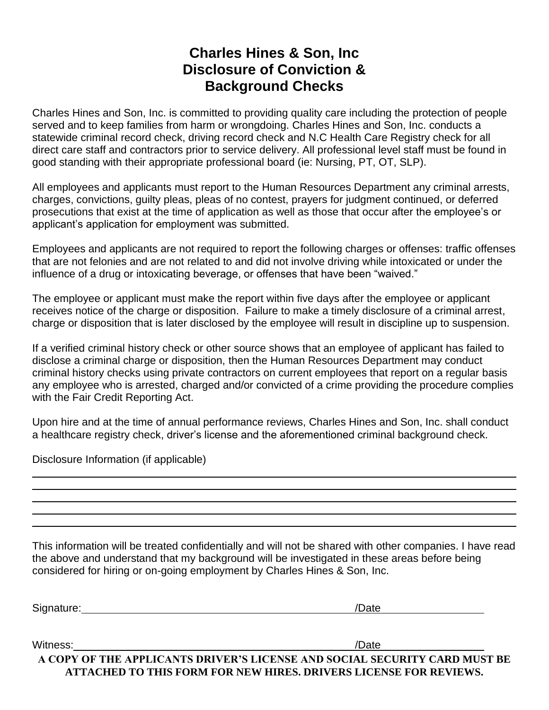## **Charles Hines & Son, Inc Disclosure of Conviction & Background Checks**

Charles Hines and Son, Inc. is committed to providing quality care including the protection of people served and to keep families from harm or wrongdoing. Charles Hines and Son, Inc. conducts a statewide criminal record check, driving record check and N.C Health Care Registry check for all direct care staff and contractors prior to service delivery. All professional level staff must be found in good standing with their appropriate professional board (ie: Nursing, PT, OT, SLP).

All employees and applicants must report to the Human Resources Department any criminal arrests, charges, convictions, guilty pleas, pleas of no contest, prayers for judgment continued, or deferred prosecutions that exist at the time of application as well as those that occur after the employee's or applicant's application for employment was submitted.

Employees and applicants are not required to report the following charges or offenses: traffic offenses that are not felonies and are not related to and did not involve driving while intoxicated or under the influence of a drug or intoxicating beverage, or offenses that have been "waived."

The employee or applicant must make the report within five days after the employee or applicant receives notice of the charge or disposition. Failure to make a timely disclosure of a criminal arrest, charge or disposition that is later disclosed by the employee will result in discipline up to suspension.

If a verified criminal history check or other source shows that an employee of applicant has failed to disclose a criminal charge or disposition, then the Human Resources Department may conduct criminal history checks using private contractors on current employees that report on a regular basis any employee who is arrested, charged and/or convicted of a crime providing the procedure complies with the Fair Credit Reporting Act.

Upon hire and at the time of annual performance reviews, Charles Hines and Son, Inc. shall conduct a healthcare registry check, driver's license and the aforementioned criminal background check.

Disclosure Information (if applicable)

This information will be treated confidentially and will not be shared with other companies. I have read the above and understand that my background will be investigated in these areas before being considered for hiring or on-going employment by Charles Hines & Son, Inc.

Signature: /Date

**A COPY OF THE APPLICANTS DRIVER'S LICENSE AND SOCIAL SECURITY CARD MUST BE ATTACHED TO THIS FORM FOR NEW HIRES. DRIVERS LICENSE FOR REVIEWS.** Witness: // Date // Date // Date // Date // Date // Date // Date // Date // Date // Date // Date // Date // Date // Date // Date //  $\sim$  // Date //  $\sim$  // Date //  $\sim$  // Date //  $\sim$  // Date //  $\sim$  //  $\sim$  //  $\sim$  //  $\$